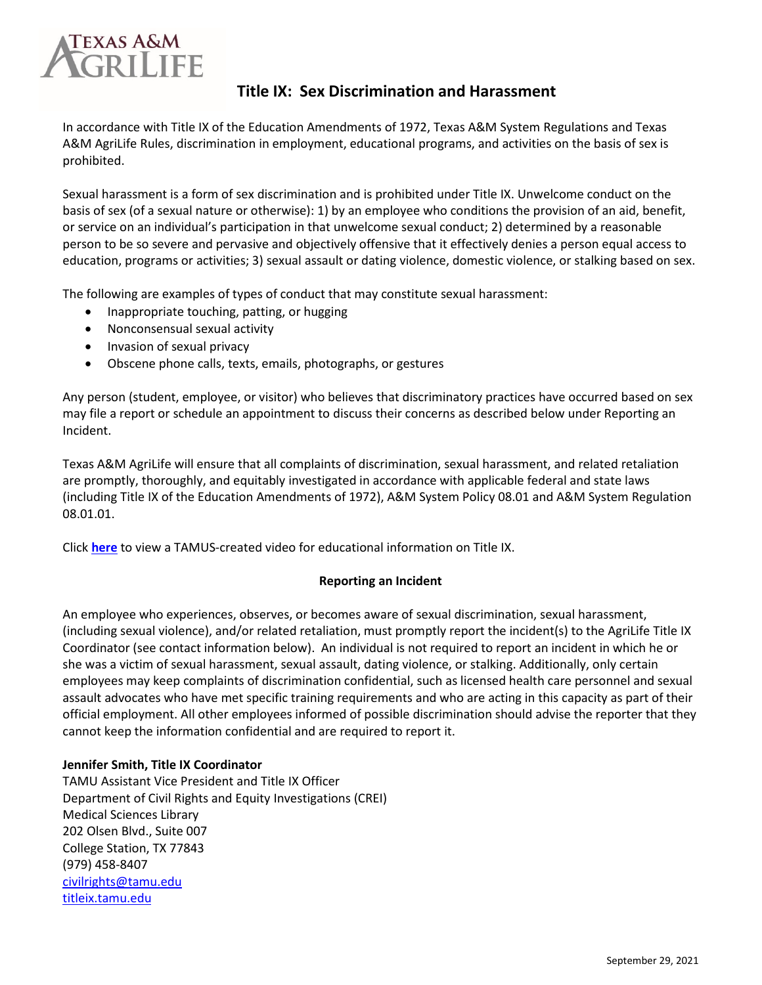

# **Title IX: Sex Discrimination and Harassment**

In accordance with Title IX of the Education Amendments of 1972, Texas A&M System Regulations and Texas A&M AgriLife Rules, discrimination in employment, educational programs, and activities on the basis of sex is prohibited.

Sexual harassment is a form of sex discrimination and is prohibited under Title IX. Unwelcome conduct on the basis of sex (of a sexual nature or otherwise): 1) by an employee who conditions the provision of an aid, benefit, or service on an individual's participation in that unwelcome sexual conduct; 2) determined by a reasonable person to be so severe and pervasive and objectively offensive that it effectively denies a person equal access to education, programs or activities; 3) sexual assault or dating violence, domestic violence, or stalking based on sex.

The following are examples of types of conduct that may constitute sexual harassment:

- Inappropriate touching, patting, or hugging
- Nonconsensual sexual activity
- Invasion of sexual privacy
- Obscene phone calls, texts, emails, photographs, or gestures

Any person (student, employee, or visitor) who believes that discriminatory practices have occurred based on sex may file a report or schedule an appointment to discuss their concerns as described below under Reporting an Incident.

Texas A&M AgriLife will ensure that all complaints of discrimination, sexual harassment, and related retaliation are promptly, thoroughly, and equitably investigated in accordance with applicable federal and state laws (including Title IX of the Education Amendments of 1972), A&M System Policy 08.01 and A&M System Regulation 08.01.01.

Click **[here](https://agnettamu0-my.sharepoint.com/personal/julie_clark_agnet_tamu_edu/Documents/Desktop/JMH%20review%20of%20CREI%20documents/%5bhttps:/vimeo.com/105143665%5d)** to view a TAMUS-created video for educational information on Title IX.

# **Reporting an Incident**

An employee who experiences, observes, or becomes aware of sexual discrimination, sexual harassment, (including sexual violence), and/or related retaliation, must promptly report the incident(s) to the AgriLife Title IX Coordinator (see contact information below). An individual is not required to report an incident in which he or she was a victim of sexual harassment, sexual assault, dating violence, or stalking. Additionally, only certain employees may keep complaints of discrimination confidential, such as licensed health care personnel and sexual assault advocates who have met specific training requirements and who are acting in this capacity as part of their official employment. All other employees informed of possible discrimination should advise the reporter that they cannot keep the information confidential and are required to report it.

# **Jennifer Smith, Title IX Coordinator**

TAMU Assistant Vice President and Title IX Officer Department of Civil Rights and Equity Investigations (CREI) Medical Sciences Library 202 Olsen Blvd., Suite 007 College Station, TX 77843 (979) 458-8407 [civilrights@tamu.edu](mailto:civilrights@tamu.edu) [titleix.tamu.edu](https://urldefense.proofpoint.com/v2/url?u=http-3A__trk.tamu.edu_trk_click-3Fref-3Dztotana6v-5F2-2D3aebrbu-2D30-2D96f7x39481x042529-26&d=DwMFaQ&c=r_tSStIHV2ie60z4DgB-pQ&r=XKbvFh4m-n_cVX32kzf-4RI1EU633lbAMmX_qodWuFg&m=BDCifx3_-9eXVC52eeat1acQH4XbmZLoNQC6Bbbl9JE&s=eWuz7KjkkaE8iQVp52jAy41IMw_z7chUX3UhdUa23eI&e=)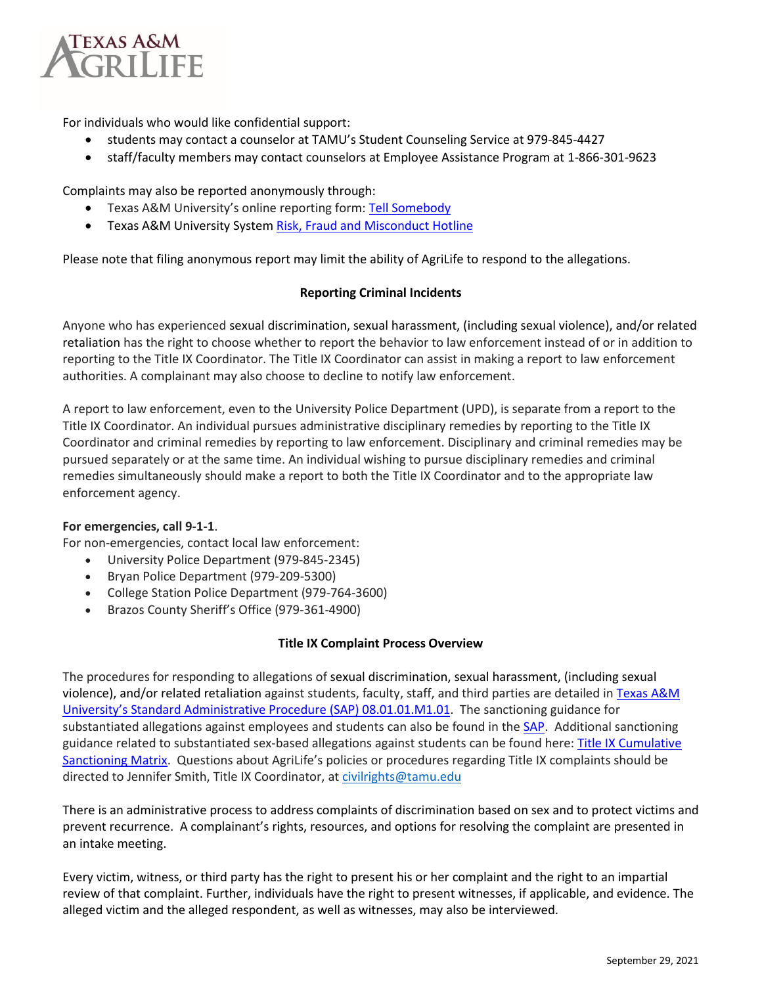

For individuals who would like confidential support:

- students may contact a counselor at TAMU's Student Counseling Service at 979-845-4427
- staff/faculty members may contact counselors at Employee Assistance Program at 1-866-301-9623

Complaints may also be reported anonymously through:

- Texas A&M University's online reporting form: [Tell Somebody](https://urldefense.proofpoint.com/v2/url?u=http-3A__trk.tamu.edu_trk_click-3Fref-3Dztotana6v-5F2-2D3aebrbu-2D30-2D96f7x394bcx042529-26&d=DwMFaQ&c=r_tSStIHV2ie60z4DgB-pQ&r=XKbvFh4m-n_cVX32kzf-4RI1EU633lbAMmX_qodWuFg&m=BDCifx3_-9eXVC52eeat1acQH4XbmZLoNQC6Bbbl9JE&s=aA9xFZdFz1YFfjvtWmO1nMpWJkzC2W1gM_Le3vodyqU&e=)
- Texas A&M University System [Risk, Fraud and Misconduct Hotline](https://secure.ethicspoint.com/domain/media/en/gui/19681/index.html)

Please note that filing anonymous report may limit the ability of AgriLife to respond to the allegations.

### **Reporting Criminal Incidents**

Anyone who has experienced sexual discrimination, sexual harassment, (including sexual violence), and/or related retaliation has the right to choose whether to report the behavior to law enforcement instead of or in addition to reporting to the Title IX Coordinator. The Title IX Coordinator can assist in making a report to law enforcement authorities. A complainant may also choose to decline to notify law enforcement.

A report to law enforcement, even to the University Police Department (UPD), is separate from a report to the Title IX Coordinator. An individual pursues administrative disciplinary remedies by reporting to the Title IX Coordinator and criminal remedies by reporting to law enforcement. Disciplinary and criminal remedies may be pursued separately or at the same time. An individual wishing to pursue disciplinary remedies and criminal remedies simultaneously should make a report to both the Title IX Coordinator and to the appropriate law enforcement agency.

### **For emergencies, call 9-1-1**.

For non-emergencies, contact local law enforcement:

- University Police Department (979-845-2345)
- Bryan Police Department (979-209-5300)
- College Station Police Department (979-764-3600)
- Brazos County Sheriff's Office (979-361-4900)

### **Title IX Complaint Process Overview**

The procedures for responding to allegations of sexual discrimination, sexual harassment, (including sexual violence), and/or related retaliation against students, faculty, staff, and third parties are detailed in Texas A&M [University's Standard Administrative Procedure](https://rules-saps.tamu.edu/pdf.php?number=08.01.01.M1.01) (SAP) 08.01.01.M1.01. The sanctioning guidance for substantiated allegations against employees and students can also be found in th[e SAP.](https://rules-saps.tamu.edu/pdf.php?number=08.01.01.M1.01) Additional sanctioning guidance related to substantiated sex-based allegations against students can be found here: Title IX Cumulative [Sanctioning Matrix.](https://titleix.tamu.edu/sanctioning-matrix/) Questions about AgriLife's policies or procedures regarding Title IX complaints should be directed to Jennifer Smith, Title IX Coordinator, at [civilrights@tamu.edu](mailto:civilrights@tamu.edu)

There is an administrative process to address complaints of discrimination based on sex and to protect victims and prevent recurrence. A complainant's rights, resources, and options for resolving the complaint are presented in an intake meeting.

Every victim, witness, or third party has the right to present his or her complaint and the right to an impartial review of that complaint. Further, individuals have the right to present witnesses, if applicable, and evidence. The alleged victim and the alleged respondent, as well as witnesses, may also be interviewed.